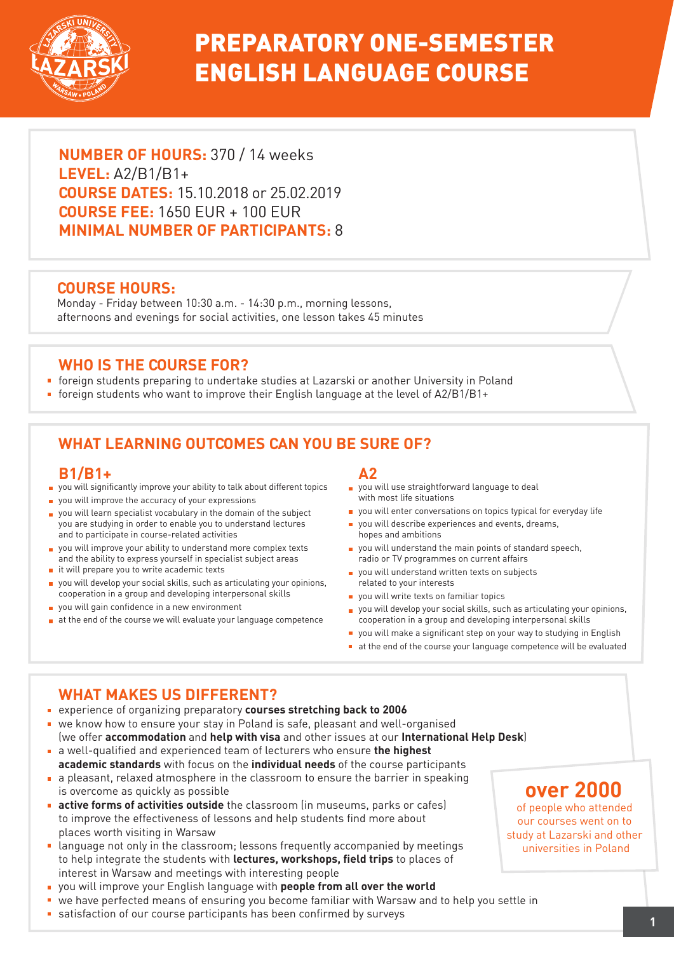

# PREPARATORY ONE-SEMESTER ENGLISH LANGUAGE COURSE

**NUMBER OF HOURS:** 370 / 14 weeks **LEVEL:** A2/B1/B1+ **COURSE DATES:** 15.10.2018 or 25.02.2019 **COURSE FEE:** 1650 EUR + 100 EUR **MINIMAL NUMBER OF PARTICIPANTS:** 8

### **COURSE HOURS:**

Monday - Friday between 10:30 a.m. - 14:30 p.m., morning lessons, afternoons and evenings for social activities, one lesson takes 45 minutes

### **WHO IS THE COURSE FOR?**

- foreign students preparing to undertake studies at Lazarski or another University in Poland
- foreign students who want to improve their English language at the level of  $A2/B1/B1+$

# **WHAT LEARNING OUTCOMES CAN YOU BE SURE OF?**

#### **B1/B1+**

- you will significantly improve your ability to talk about different topics
- **p** you will improve the accuracy of your expressions
- vou will learn specialist vocabulary in the domain of the subject you are studying in order to enable you to understand lectures and to participate in course-related activities
- you will improve your ability to understand more complex texts and the ability to express yourself in specialist subject areas
- $\blacksquare$  it will prepare you to write academic texts
- you will develop your social skills, such as articulating your opinions, cooperation in a group and developing interpersonal skills
- vou will gain confidence in a new environment
- $\blacksquare$  at the end of the course we will evaluate your language competence

#### **A2**

- vou will use straightforward language to deal with most life situations
- vou will enter conversations on topics typical for everyday life
- vou will describe experiences and events, dreams, hopes and ambitions
- you will understand the main points of standard speech, radio or TV programmes on current affairs
- vou will understand written texts on subjects related to your interests
- vou will write texts on familiar topics
- you will develop your social skills, such as articulating your opinions, cooperation in a group and developing interpersonal skills
- you will make a significant step on your way to studying in English
- at the end of the course your language competence will be evaluated

# **WHAT MAKES US DIFFERENT?**

- experience of organizing preparatory **courses stretching back to 2006**
- we know how to ensure your stay in Poland is safe, pleasant and well-organised (we offer **accommodation** and **help with visa** and other issues at our **International Help Desk**)
- a well-qualified and experienced team of lecturers who ensure **the highest academic standards** with focus on the **individual needs** of the course participants
- a pleasant, relaxed atmosphere in the classroom to ensure the barrier in speaking is overcome as quickly as possible
- **active forms of activities outside** the classroom (in museums, parks or cafes) to improve the effectiveness of lessons and help students find more about places worth visiting in Warsaw
- **E** language not only in the classroom; lessons frequently accompanied by meetings to help integrate the students with **lectures, workshops, field trips** to places of interest in Warsaw and meetings with interesting people
- you will improve your English language with **people from all over the world**
- we have perfected means of ensuring you become familiar with Warsaw and to help you settle in
- satisfaction of our course participants has been confirmed by surveys **<sup>1</sup>**

# **over 2000**

of people who attended our courses went on to study at Lazarski and other universities in Poland